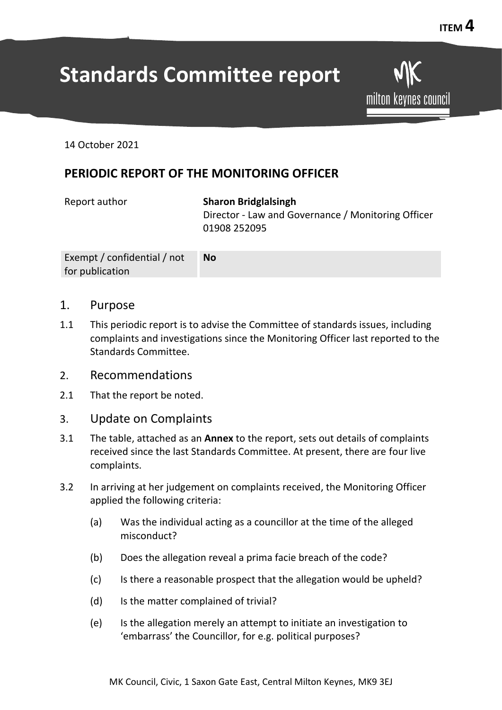# **Standards Committee report**

milton keynes council

14 October 2021

## **PERIODIC REPORT OF THE MONITORING OFFICER**

Report author **Sharon Bridglalsingh** Director - Law and Governance / Monitoring Officer 01908 252095

| Exempt / confidential / not | <b>No</b> |
|-----------------------------|-----------|
| for publication             |           |

- 1. Purpose
- 1.1 This periodic report is to advise the Committee of standards issues, including complaints and investigations since the Monitoring Officer last reported to the Standards Committee.
- 2. Recommendations
- 2.1 That the report be noted.
- 3. Update on Complaints
- 3.1 The table, attached as an **Annex** to the report, sets out details of complaints received since the last Standards Committee. At present, there are four live complaints.
- 3.2 In arriving at her judgement on complaints received, the Monitoring Officer applied the following criteria:
	- (a) Was the individual acting as a councillor at the time of the alleged misconduct?
	- (b) Does the allegation reveal a prima facie breach of the code?
	- (c) Is there a reasonable prospect that the allegation would be upheld?
	- (d) Is the matter complained of trivial?
	- (e) Is the allegation merely an attempt to initiate an investigation to 'embarrass' the Councillor, for e.g. political purposes?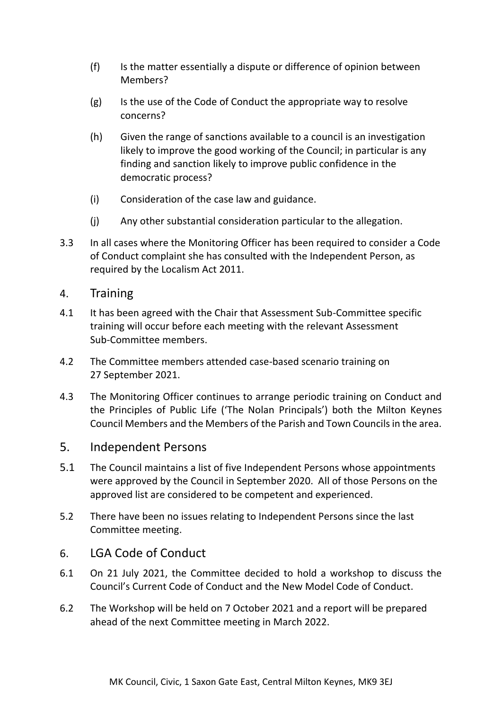- (f) Is the matter essentially a dispute or difference of opinion between Members?
- (g) Is the use of the Code of Conduct the appropriate way to resolve concerns?
- (h) Given the range of sanctions available to a council is an investigation likely to improve the good working of the Council; in particular is any finding and sanction likely to improve public confidence in the democratic process?
- (i) Consideration of the case law and guidance.
- (j) Any other substantial consideration particular to the allegation.
- 3.3 In all cases where the Monitoring Officer has been required to consider a Code of Conduct complaint she has consulted with the Independent Person, as required by the Localism Act 2011.

#### 4. Training

- 4.1 It has been agreed with the Chair that Assessment Sub-Committee specific training will occur before each meeting with the relevant Assessment Sub-Committee members.
- 4.2 The Committee members attended case-based scenario training on 27 September 2021.
- 4.3 The Monitoring Officer continues to arrange periodic training on Conduct and the Principles of Public Life ('The Nolan Principals') both the Milton Keynes Council Members and the Members of the Parish and Town Councils in the area.

#### 5. Independent Persons

- 5.1 The Council maintains a list of five Independent Persons whose appointments were approved by the Council in September 2020. All of those Persons on the approved list are considered to be competent and experienced.
- 5.2 There have been no issues relating to Independent Persons since the last Committee meeting.

#### 6. LGA Code of Conduct

- 6.1 On 21 July 2021, the Committee decided to hold a workshop to discuss the Council's Current Code of Conduct and the New Model Code of Conduct.
- 6.2 The Workshop will be held on 7 October 2021 and a report will be prepared ahead of the next Committee meeting in March 2022.